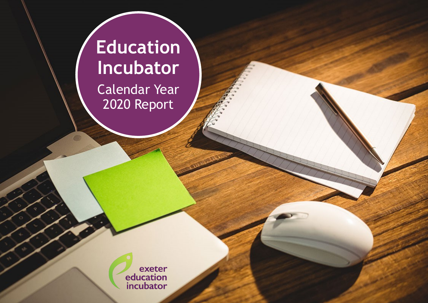# **Education Incubator** Calendar Year 2020 Report

exeter<br>
education<br>
incubator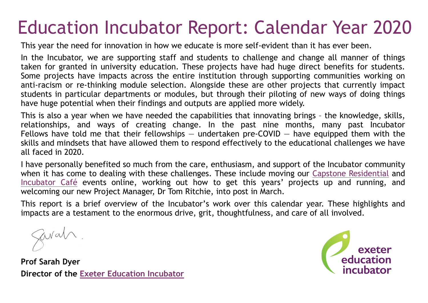# Education Incubator Report: Calendar Year 2020

This year the need for innovation in how we educate is more self-evident than it has ever been.

In the Incubator, we are supporting staff and students to challenge and change all manner of things taken for granted in university education. These projects have had huge direct benefits for students. Some projects have impacts across the entire institution through supporting communities working on anti-racism or re-thinking module selection. Alongside these are other projects that currently impact students in particular departments or modules, but through their piloting of new ways of doing things have huge potential when their findings and outputs are applied more widely.

This is also a year when we have needed the capabilities that innovating brings – the knowledge, skills, relationships, and ways of creating change. In the past nine months, many past Incubator Fellows have told me that their fellowships  $-$  undertaken pre-COVID  $-$  have equipped them with the skills and mindsets that have allowed them to respond effectively to the educational challenges we have all faced in 2020.

I have personally benefited so much from the care, enthusiasm, and support of the Incubator community when it has come to dealing with these challenges. These include moving our [Capstone Residential](https://uoeeduinc.wordpress.com/2020/06/18/developing-inclusive-learning-environments-online/) and [Incubator Café](https://online.fliphtml5.com/gbjqp/ksmx/#p=2) events online, working out how to get this years' projects up and running, and welcoming our new Project Manager, Dr Tom Ritchie, into post in March.

This report is a brief overview of the Incubator's work over this calendar year. These highlights and impacts are a testament to the enormous drive, grit, thoughtfulness, and care of all involved.

Savat

**Prof Sarah Dyer Director of the [Exeter Education Incubator](https://www.exeter.ac.uk/teaching-excellence/educationincubator/about/)**

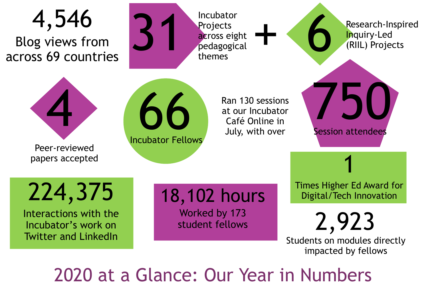

2020 at a Glance: Our Year in Numbers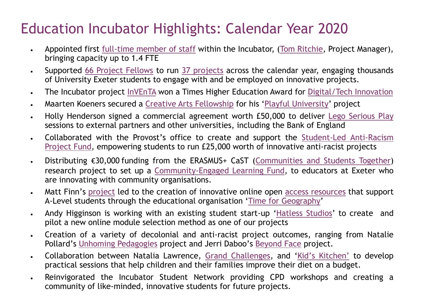## Education Incubator Highlights: Calendar Year 2020

- Appointed first full-[time member of staff](https://www.exeter.ac.uk/teaching-excellence/educationincubator/about/incubatorfellows202021/) within the Incubator, ([Tom Ritchie,](https://www.linkedin.com/in/tomritchie1/) Project Manager), bringing capacity up to 1.4 FTE
- Supported [66 Project Fellows](https://www.exeter.ac.uk/teaching-excellence/educationincubator/about/incubatorfellows202021/) to run [37 projects](https://www.exeter.ac.uk/teaching-excellence/educationincubator/about/incubatorprojects201920/) across the calendar year, engaging thousands of University Exeter students to engage with and be employed on innovative projects.
- The Incubator project [InVEnTA](https://blogs.exeter.ac.uk/inventa/) won a Times Higher Education Award for [Digital/Tech Innovation](https://www.timeshighereducation.com/news/times-higher-education-awards-2020-winners-announced)
- Maarten Koeners secured a [Creative Arts Fellowship](https://creativeartsfellowship.org/wp-content/endurance-page-cache/_index.html) for his '[Playful University](https://www.exeter.ac.uk/stafflife/activitiesandgroups/streatham/playfuluniversityclub/)' project
- Holly Henderson signed a commercial agreement worth £50,000 to deliver [Lego Serious Play](https://uoeeduinc.wordpress.com/2020/09/18/lego-serious-play-training-blog/) sessions to external partners and other universities, including the Bank of England
- Collaborated with the Provost's office to create and support the Student-[Led Anti](https://www.exeter.ac.uk/teaching-excellence/educationincubator/about/student_anti-racism_fund/)-Racism [Project Fund,](https://www.exeter.ac.uk/teaching-excellence/educationincubator/about/student_anti-racism_fund/) empowering students to run £25,000 worth of innovative anti-racist projects
- Distributing €30,000 funding from the ERASMUS+ CaST ([Communities and Students Together\)](https://www.cast-euproject.eu/) research project to set up a Community-[Engaged Learning Fund,](https://www.exeter.ac.uk/teaching-excellence/educationincubator/about/community_engaged_learning_small_projects/) to educators at Exeter who are innovating with community organisations.
- Matt Finn's [project](https://sway.office.com/DEBBnkw6TDdlLska) led to the creation of innovative online open [access resources](https://timeforgeography.co.uk/videos_list/human-geography-research/how-do-you-choose-methods-research/) that support A-Level students through the educational organisation '[Time for Geography](https://timeforgeography.co.uk/about/vision-and-mission/)'
- Andy Higginson is working with an existing student start-up '[Hatless Studios](https://www.hatless-studios.co.uk/?fbclid=IwAR1dZ-b2vupFI6lOBKtTxh6xZyw-zHoxOnfZeQVfiV5iPo8W_8jCeValDXU#/)' to create and pilot a new online module selection method as one of our projects
- Creation of a variety of decolonial and anti-racist project outcomes, ranging from Natalie Pollard's [Unhoming Pedagogies](http://www.unhomingpedagogies.co.uk) project and Jerri Daboo's [Beyond Face](https://issuu.com/therestofus/docs/tbgdc_uoe_the_rest_of_us_stories_issuu_pages) project.
- Collaboration between Natalia Lawrence, [Grand Challenges,](https://www.exeter.ac.uk/grandchallenges/challenges2020/foodforthought/) and 'Kid'[s Kitchen](https://www.kidskitchen.org.uk/)' to develop practical sessions that help children and their families improve their diet on a budget.
- Reinvigorated the Incubator Student Network providing CPD workshops and creating a community of like-minded, innovative students for future projects.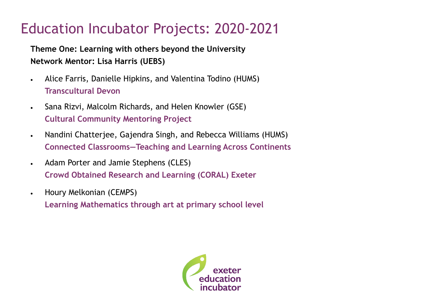**Theme One: Learning with others beyond the University Network Mentor: Lisa Harris (UEBS)**

- Alice Farris, Danielle Hipkins, and Valentina Todino (HUMS) **Transcultural Devon**
- Sana Rizvi, Malcolm Richards, and Helen Knowler (GSE) **Cultural Community Mentoring Project**
- Nandini Chatterjee, Gajendra Singh, and Rebecca Williams (HUMS) **Connected Classrooms—Teaching and Learning Across Continents**
- Adam Porter and Jamie Stephens (CLES) **Crowd Obtained Research and Learning (CORAL) Exeter**
- Houry Melkonian (CEMPS)

**Learning Mathematics through art at primary school level**

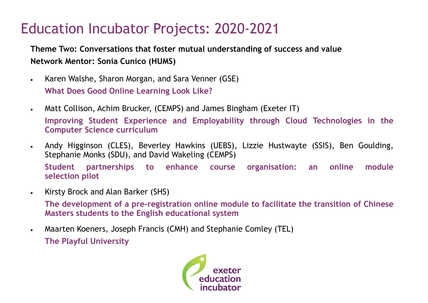**Theme Two: Conversations that foster mutual understanding of success and value Network Mentor: Sonia Cunico (HUMS)**

- Karen Walshe, Sharon Morgan, and Sara Venner (GSE) **What Does Good Online Learning Look Like?**
- Matt Collison, Achim Brucker, (CEMPS) and James Bingham (Exeter IT) **Improving Student Experience and Employability through Cloud Technologies in the Computer Science curriculum**
- Andy Higginson (CLES), Beverley Hawkins (UEBS), Lizzie Hustwayte (SSIS), Ben Goulding, Stephanie Monks (SDU), and David Wakeling (CEMPS) **Student partnerships to enhance course organisation: an online module selection pilot**
- Kirsty Brock and Alan Barker (SHS)

**The development of a pre-registration online module to facilitate the transition of Chinese Masters students to the English educational system**

• Maarten Koeners, Joseph Francis (CMH) and Stephanie Comley (TEL) **The Playful University**

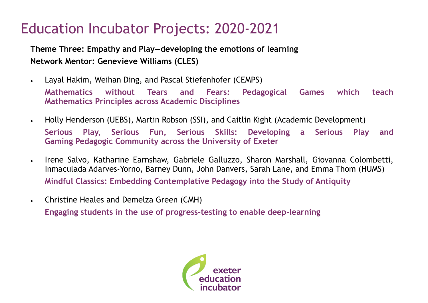**Theme Three: Empathy and Play—developing the emotions of learning Network Mentor: Genevieve Williams (CLES)**

- Layal Hakim, Weihan Ding, and Pascal Stiefenhofer (CEMPS) **Mathematics without Tears and Fears: Pedagogical Games which teach Mathematics Principles across Academic Disciplines**
- Holly Henderson (UEBS), Martin Robson (SSI), and Caitlin Kight (Academic Development) **Serious Play, Serious Fun, Serious Skills: Developing a Serious Play and Gaming Pedagogic Community across the University of Exeter**
- Irene Salvo, Katharine Earnshaw, Gabriele Galluzzo, Sharon Marshall, Giovanna Colombetti, Inmaculada Adarves-Yorno, Barney Dunn, John Danvers, Sarah Lane, and Emma Thom (HUMS) **Mindful Classics: Embedding Contemplative Pedagogy into the Study of Antiquity**
- Christine Heales and Demelza Green (CMH) **Engaging students in the use of progress-testing to enable deep-learning**